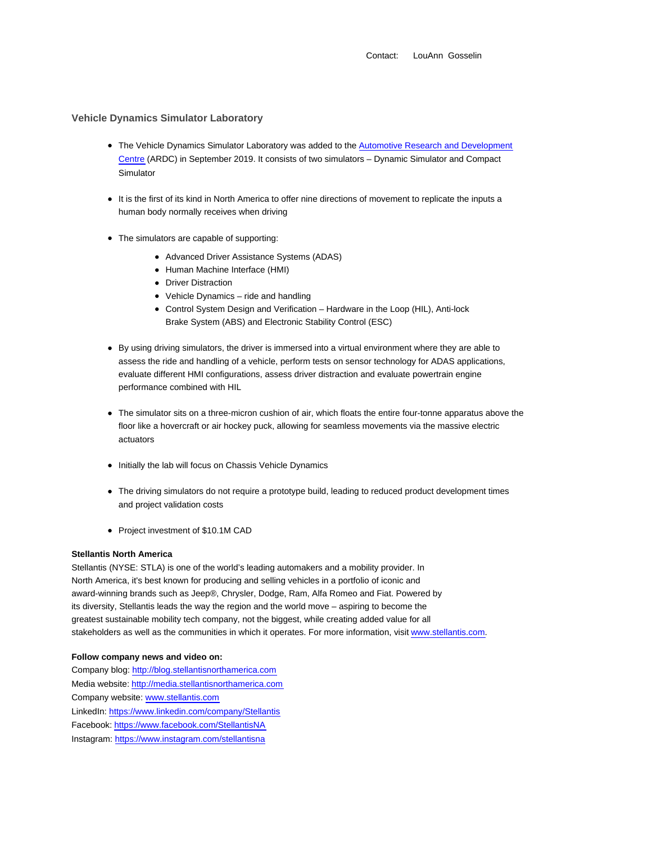## **Vehicle Dynamics Simulator Laboratory**

- The Vehicle Dynamics Simulator Laboratory was added to the Automotive Research and Development Centre (ARDC) in September 2019. It consists of two simulators – Dynamic Simulator and Compact Simulator
- It is the first of its kind in North America to offer nine directions of movement to replicate the inputs a human body normally receives when driving
- The simulators are capable of supporting:
	- Advanced Driver Assistance Systems (ADAS)
	- Human Machine Interface (HMI)
	- Driver Distraction
	- Vehicle Dynamics ride and handling
	- Control System Design and Verification Hardware in the Loop (HIL), Anti-lock Brake System (ABS) and Electronic Stability Control (ESC)
- By using driving simulators, the driver is immersed into a virtual environment where they are able to assess the ride and handling of a vehicle, perform tests on sensor technology for ADAS applications, evaluate different HMI configurations, assess driver distraction and evaluate powertrain engine performance combined with HIL
- The simulator sits on a three-micron cushion of air, which floats the entire four-tonne apparatus above the floor like a hovercraft or air hockey puck, allowing for seamless movements via the massive electric actuators
- Initially the lab will focus on Chassis Vehicle Dynamics
- The driving simulators do not require a prototype build, leading to reduced product development times and project validation costs
- Project investment of \$10.1M CAD

## **Stellantis North America**

Stellantis (NYSE: STLA) is one of the world's leading automakers and a mobility provider. In North America, it's best known for producing and selling vehicles in a portfolio of iconic and award-winning brands such as Jeep®, Chrysler, Dodge, Ram, Alfa Romeo and Fiat. Powered by its diversity, Stellantis leads the way the region and the world move – aspiring to become the greatest sustainable mobility tech company, not the biggest, while creating added value for all stakeholders as well as the communities in which it operates. For more information, visit www.stellantis.com.

## **Follow company news and video on:**

Company blog: http://blog.stellantisnorthamerica.com Media website: http://media.stellantisnorthamerica.com Company website: www.stellantis.com LinkedIn: https://www.linkedin.com/company/Stellantis Facebook: https://www.facebook.com/StellantisNA Instagram: https://www.instagram.com/stellantisna